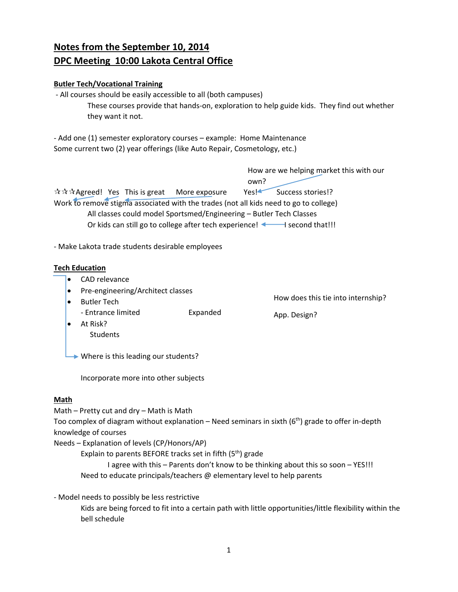# **Notes from the September 10, 2014 DPC Meeting 10:00 Lakota Central Office**

# **Butler Tech/Vocational Training**

 ‐ All courses should be easily accessible to all (both campuses) These courses provide that hands‐on, exploration to help guide kids. They find out whether they want it not.

‐ Add one (1) semester exploratory courses – example: Home Maintenance Some current two (2) year offerings (like Auto Repair, Cosmetology, etc.)

 How are we helping market this with our own? ☆☆☆Agreed! Yes This is great More exposure Yes! Success stories!? Work to remove stigma associated with the trades (not all kids need to go to college) All classes could model Sportsmed/Engineering – Butler Tech Classes Or kids can still go to college after tech experience!  $\blacktriangleleft$  second that!!!

How does this tie into internship?

App. Design?

‐ Make Lakota trade students desirable employees

#### **Tech Education**

- CAD relevance
- Pre-engineering/Architect classes
- Butler Tech ‐ Entrance limited Expanded

 At Risk? **Students** 

**→ Where is this leading our students?** 

Incorporate more into other subjects

# **Math**

Math – Pretty cut and dry – Math is Math

Too complex of diagram without explanation – Need seminars in sixth  $(6<sup>th</sup>)$  grade to offer in-depth knowledge of courses

Needs – Explanation of levels (CP/Honors/AP)

Explain to parents BEFORE tracks set in fifth  $(5<sup>th</sup>)$  grade

 I agree with this – Parents don't know to be thinking about this so soon – YES!!! Need to educate principals/teachers @ elementary level to help parents

‐ Model needs to possibly be less restrictive

Kids are being forced to fit into a certain path with little opportunities/little flexibility within the bell schedule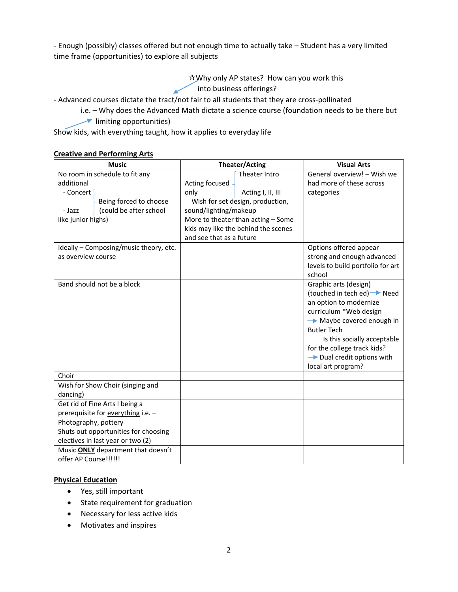‐ Enough (possibly) classes offered but not enough time to actually take – Student has a very limited time frame (opportunities) to explore all subjects

> Why only AP states? How can you work this into business offerings?

‐ Advanced courses dictate the tract/not fair to all students that they are cross‐pollinated

- i.e. Why does the Advanced Math dictate a science course (foundation needs to be there but
- $\rightarrow$  limiting opportunities)

Show kids, with everything taught, how it applies to everyday life

#### **Creative and Performing Arts**

| <b>Music</b>                           | <b>Theater/Acting</b>               | <b>Visual Arts</b>                     |
|----------------------------------------|-------------------------------------|----------------------------------------|
| No room in schedule to fit any         | Theater Intro                       | General overview! - Wish we            |
| additional                             | Acting focused                      | had more of these across               |
| - Concert                              | only<br>Acting I, II, III           | categories                             |
| Being forced to choose                 | Wish for set design, production,    |                                        |
| (could be after school<br>- Jazz       | sound/lighting/makeup               |                                        |
| like junior highs)                     | More to theater than acting - Some  |                                        |
|                                        | kids may like the behind the scenes |                                        |
|                                        | and see that as a future            |                                        |
| Ideally - Composing/music theory, etc. |                                     | Options offered appear                 |
| as overview course                     |                                     | strong and enough advanced             |
|                                        |                                     | levels to build portfolio for art      |
|                                        |                                     | school                                 |
| Band should not be a block             |                                     | Graphic arts (design)                  |
|                                        |                                     | (touched in tech ed) → Need            |
|                                        |                                     | an option to modernize                 |
|                                        |                                     | curriculum *Web design                 |
|                                        |                                     | $\rightarrow$ Maybe covered enough in  |
|                                        |                                     | <b>Butler Tech</b>                     |
|                                        |                                     | Is this socially acceptable            |
|                                        |                                     | for the college track kids?            |
|                                        |                                     | $\rightarrow$ Dual credit options with |
|                                        |                                     | local art program?                     |
| Choir                                  |                                     |                                        |
| Wish for Show Choir (singing and       |                                     |                                        |
| dancing)                               |                                     |                                        |
| Get rid of Fine Arts I being a         |                                     |                                        |
| prerequisite for everything i.e. -     |                                     |                                        |
| Photography, pottery                   |                                     |                                        |
| Shuts out opportunities for choosing   |                                     |                                        |
| electives in last year or two (2)      |                                     |                                        |
| Music ONLY department that doesn't     |                                     |                                        |
| offer AP Course!!!!!!                  |                                     |                                        |

#### **Physical Education**

- Yes, still important
- State requirement for graduation
- Necessary for less active kids
- Motivates and inspires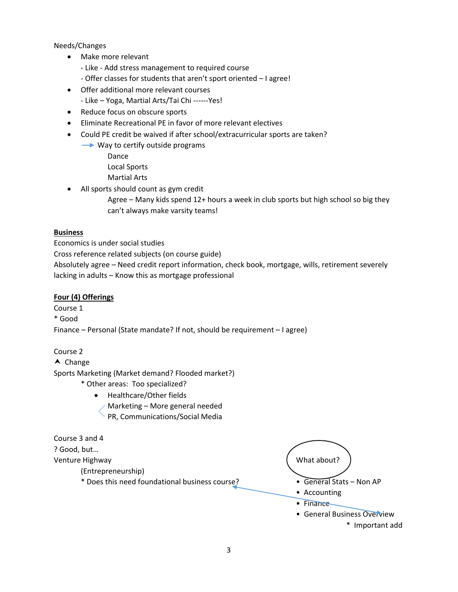Needs/Changes

- Make more relevant
	- ‐ Like ‐ Add stress management to required course
	- ‐ Offer classes for students that aren't sport oriented I agree!
- Offer additional more relevant courses
	- ‐ Like Yoga, Martial Arts/Tai Chi ‐‐‐‐‐‐Yes!
- Reduce focus on obscure sports
- Eliminate Recreational PE in favor of more relevant electives
- Could PE credit be waived if after school/extracurricular sports are taken?
	- **→ Way to certify outside programs** 
		- Dance
		- Local Sports
		- Martial Arts
- All sports should count as gym credit
	- Agree Many kids spend 12+ hours a week in club sports but high school so big they can't always make varsity teams!

#### **Business**

Economics is under social studies

Cross reference related subjects (on course guide)

Absolutely agree – Need credit report information, check book, mortgage, wills, retirement severely lacking in adults – Know this as mortgage professional

# **Four (4) Offerings**

Course 1

\* Good

Finance – Personal (State mandate? If not, should be requirement – I agree)

# Course 2

 $\triangle$  Change Sports Marketing (Market demand? Flooded market?)

- \* Other areas: Too specialized?
	- Healthcare/Other fields Marketing – More general needed PR, Communications/Social Media

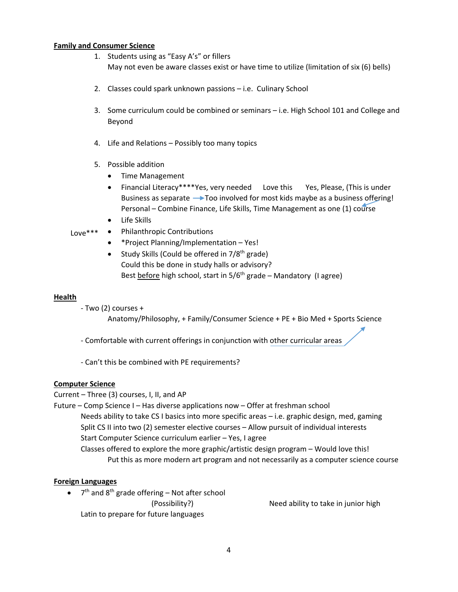#### **Family and Consumer Science**

- 1. Students using as "Easy A's" or fillers May not even be aware classes exist or have time to utilize (limitation of six (6) bells)
- 2. Classes could spark unknown passions i.e. Culinary School
- 3. Some curriculum could be combined or seminars i.e. High School 101 and College and Beyond
- 4. Life and Relations Possibly too many topics
- 5. Possible addition
	- Time Management
	- Financial Literacy\*\*\*\*Yes, very needed Love this Yes, Please, (This is under Business as separate  $\rightarrow$  Too involved for most kids maybe as a business offering! Personal – Combine Finance, Life Skills, Time Management as one (1) course
	- Life Skills
- Philanthropic Contributions Love\*\*\*
	- \*Project Planning/Implementation Yes!
	- Study Skills (Could be offered in  $7/8<sup>th</sup>$  grade) Could this be done in study halls or advisory? Best before high school, start in  $5/6<sup>th</sup>$  grade – Mandatory (I agree)

#### **Health**

- ‐ Two (2) courses +
	- Anatomy/Philosophy, + Family/Consumer Science + PE + Bio Med + Sports Science
- ‐ Comfortable with current offerings in conjunction with other curricular areas
- ‐ Can't this be combined with PE requirements?

#### **Computer Science**

Current – Three (3) courses, I, II, and AP

Future – Comp Science I – Has diverse applications now – Offer at freshman school Needs ability to take CS I basics into more specific areas – i.e. graphic design, med, gaming Split CS II into two (2) semester elective courses – Allow pursuit of individual interests Start Computer Science curriculum earlier – Yes, I agree Classes offered to explore the more graphic/artistic design program – Would love this! Put this as more modern art program and not necessarily as a computer science course

#### **Foreign Languages**

 $\bullet$  7<sup>th</sup> and 8<sup>th</sup> grade offering – Not after school Latin to prepare for future languages

(Possibility?) Need ability to take in junior high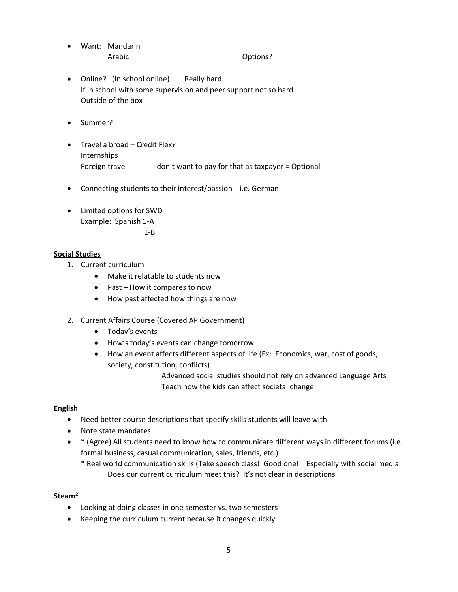- Want: Mandarin Arabic **Department Controller** Options?
- Online? (In school online) Really hard If in school with some supervision and peer support not so hard Outside of the box
- Summer?
- Travel a broad Credit Flex? Internships Foreign travel **I** don't want to pay for that as taxpayer = Optional
- Connecting students to their interest/passion i.e. German
- Limited options for SWD Example: Spanish 1‐A

 $1 - B$ 

# **Social Studies**

- 1. Current curriculum
	- Make it relatable to students now
	- Past How it compares to now
	- How past affected how things are now
- 2. Current Affairs Course (Covered AP Government)
	- Today's events
	- How's today's events can change tomorrow
	- How an event affects different aspects of life (Ex: Economics, war, cost of goods, society, constitution, conflicts)

 Advanced social studies should not rely on advanced Language Arts Teach how the kids can affect societal change

# **English**

- Need better course descriptions that specify skills students will leave with
- Note state mandates
- \* (Agree) All students need to know how to communicate different ways in different forums (i.e. formal business, casual communication, sales, friends, etc.)
	- \* Real world communication skills (Take speech class! Good one! Especially with social media Does our current curriculum meet this? It's not clear in descriptions

# **Steam2**

- Looking at doing classes in one semester vs. two semesters
- Keeping the curriculum current because it changes quickly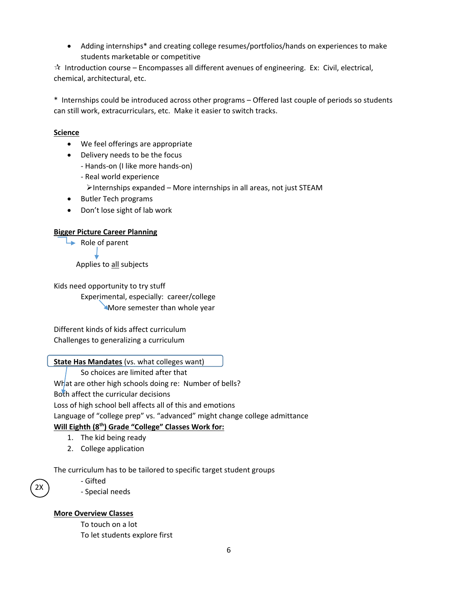Adding internships\* and creating college resumes/portfolios/hands on experiences to make students marketable or competitive

 $\hat{x}$  Introduction course – Encompasses all different avenues of engineering. Ex: Civil, electrical, chemical, architectural, etc.

\* Internships could be introduced across other programs – Offered last couple of periods so students can still work, extracurriculars, etc. Make it easier to switch tracks.

## **Science**

- We feel offerings are appropriate
- Delivery needs to be the focus
	- ‐ Hands‐on (I like more hands‐on)
	- ‐ Real world experience  $\triangleright$ Internships expanded – More internships in all areas, not just STEAM
- Butler Tech programs
- Don't lose sight of lab work

#### **Bigger Picture Career Planning**

 $\rightarrow$  Role of parent

Applies to all subjects

Kids need opportunity to try stuff Experimental, especially: career/college **More semester than whole year** 

Different kinds of kids affect curriculum Challenges to generalizing a curriculum

#### **State Has Mandates** (vs. what colleges want)

So choices are limited after that

What are other high schools doing re: Number of bells?

Both affect the curricular decisions

Loss of high school bell affects all of this and emotions

Language of "college prep" vs. "advanced" might change college admittance

#### **Will Eighth (8th) Grade "College" Classes Work for:**

- 1. The kid being ready
- 2. College application

The curriculum has to be tailored to specific target student groups

2X

‐ Gifted

‐ Special needs

#### **More Overview Classes**

To touch on a lot To let students explore first